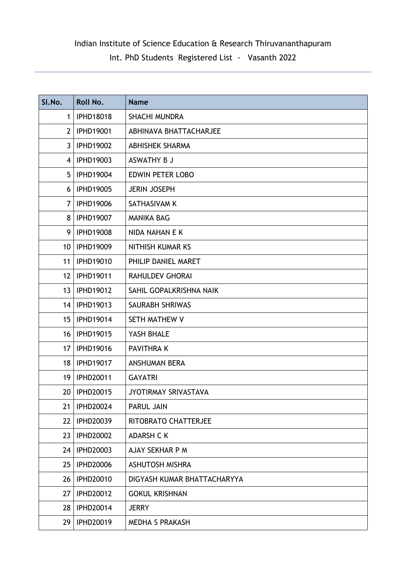## Indian Institute of Science Education & Research Thiruvananthapuram

Int. PhD Students Registered List - Vasanth 2022

| SI.No.            | Roll No.         | <b>Name</b>                 |
|-------------------|------------------|-----------------------------|
| $\mathbf{1}$      | <b>IPHD18018</b> | <b>SHACHI MUNDRA</b>        |
| $\overline{2}$    | <b>IPHD19001</b> | ABHINAVA BHATTACHARJEE      |
| $\mathbf{3}$      | <b>IPHD19002</b> | <b>ABHISHEK SHARMA</b>      |
| 4                 | <b>IPHD19003</b> | ASWATHY B J                 |
| 5                 | <b>IPHD19004</b> | <b>EDWIN PETER LOBO</b>     |
| 6                 | <b>IPHD19005</b> | <b>JERIN JOSEPH</b>         |
| 7                 | <b>IPHD19006</b> | SATHASIVAM K                |
| 8                 | <b>IPHD19007</b> | <b>MANIKA BAG</b>           |
| 9                 | <b>IPHD19008</b> | NIDA NAHAN E K              |
| 10 <sup>°</sup>   | <b>IPHD19009</b> | NITHISH KUMAR KS            |
| 11                | <b>IPHD19010</b> | PHILIP DANIEL MARET         |
| $12 \overline{ }$ | <b>IPHD19011</b> | <b>RAHULDEV GHORAI</b>      |
| 13 <sup>2</sup>   | <b>IPHD19012</b> | SAHIL GOPALKRISHNA NAIK     |
|                   | 14   IPHD19013   | <b>SAURABH SHRIWAS</b>      |
| 15 <sub>1</sub>   | <b>IPHD19014</b> | SETH MATHEW V               |
| 16                | <b>IPHD19015</b> | YASH BHALE                  |
| 17                | <b>IPHD19016</b> | <b>PAVITHRAK</b>            |
| 18                | <b>IPHD19017</b> | <b>ANSHUMAN BERA</b>        |
| 19                | IPHD20011        | <b>GAYATRI</b>              |
| 20                | <b>IPHD20015</b> | JYOTIRMAY SRIVASTAVA        |
| 21                | <b>IPHD20024</b> | <b>PARUL JAIN</b>           |
| 22                | <b>IPHD20039</b> | RITOBRATO CHATTERJEE        |
| 23                | <b>IPHD20002</b> | <b>ADARSH C K</b>           |
| 24                | <b>IPHD20003</b> | AJAY SEKHAR P M             |
| 25                | <b>IPHD20006</b> | <b>ASHUTOSH MISHRA</b>      |
| 26                | <b>IPHD20010</b> | DIGYASH KUMAR BHATTACHARYYA |
| 27                | <b>IPHD20012</b> | <b>GOKUL KRISHNAN</b>       |
| 28                | IPHD20014        | <b>JERRY</b>                |
| 29                | IPHD20019        | <b>MEDHA S PRAKASH</b>      |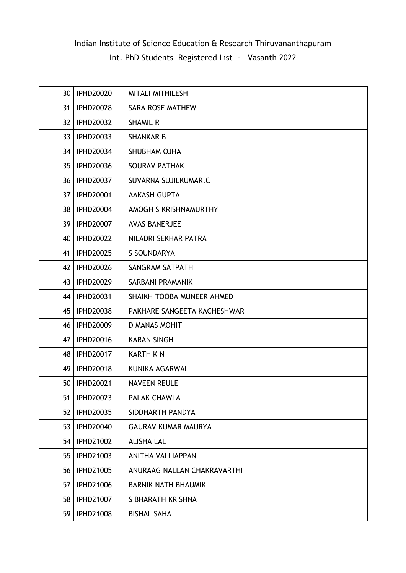## Indian Institute of Science Education & Research Thiruvananthapuram

Int. PhD Students Registered List - Vasanth 2022

| 30              | <b>IPHD20020</b> | <b>MITALI MITHILESH</b>     |
|-----------------|------------------|-----------------------------|
| 31              | <b>IPHD20028</b> | <b>SARA ROSE MATHEW</b>     |
| 32 <sup>2</sup> | <b>IPHD20032</b> | <b>SHAMIL R</b>             |
| 33              | <b>IPHD20033</b> | <b>SHANKAR B</b>            |
| 34              | <b>IPHD20034</b> | SHUBHAM OJHA                |
| 35 <sub>1</sub> | <b>IPHD20036</b> | <b>SOURAV PATHAK</b>        |
| 36              | <b>IPHD20037</b> | SUVARNA SUJILKUMAR.C        |
| 37 <sup>2</sup> | <b>IPHD20001</b> | <b>AAKASH GUPTA</b>         |
| 38              | <b>IPHD20004</b> | AMOGH S KRISHNAMURTHY       |
| 39              | <b>IPHD20007</b> | <b>AVAS BANERJEE</b>        |
| 40              | <b>IPHD20022</b> | NILADRI SEKHAR PATRA        |
| 41              | <b>IPHD20025</b> | S SOUNDARYA                 |
| 42              | <b>IPHD20026</b> | <b>SANGRAM SATPATHI</b>     |
| 43              | IPHD20029        | SARBANI PRAMANIK            |
| 44              | IPHD20031        | SHAIKH TOOBA MUNEER AHMED   |
| 45              | <b>IPHD20038</b> | PAKHARE SANGEETA KACHESHWAR |
| 46              | <b>IPHD20009</b> | <b>D MANAS MOHIT</b>        |
| 47              | <b>IPHD20016</b> | <b>KARAN SINGH</b>          |
| 48              | <b>IPHD20017</b> | <b>KARTHIK N</b>            |
| 49              | <b>IPHD20018</b> | KUNIKA AGARWAL              |
| 50              | <b>IPHD20021</b> | <b>NAVEEN REULE</b>         |
| 51              | <b>IPHD20023</b> | PALAK CHAWLA                |
| 52              | <b>IPHD20035</b> | SIDDHARTH PANDYA            |
| 53              | <b>IPHD20040</b> | <b>GAURAV KUMAR MAURYA</b>  |
| 54              | <b>IPHD21002</b> | <b>ALISHA LAL</b>           |
| 55              | IPHD21003        | <b>ANITHA VALLIAPPAN</b>    |
| 56              | <b>IPHD21005</b> | ANURAAG NALLAN CHAKRAVARTHI |
| 57              | <b>IPHD21006</b> | <b>BARNIK NATH BHAUMIK</b>  |
| 58              | <b>IPHD21007</b> | S BHARATH KRISHNA           |
| 59              | <b>IPHD21008</b> | <b>BISHAL SAHA</b>          |